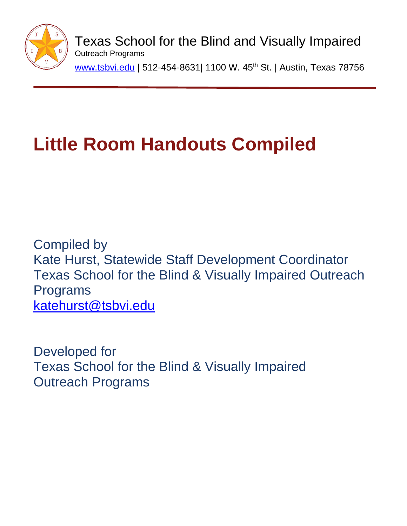

Texas School for the Blind and Visually Impaired Outreach Programs [www.tsbvi.edu](http://www.tsbvi.edu/) | 512-454-8631| 1100 W. 45<sup>th</sup> St. | Austin, Texas 78756

# **Little Room Handouts Compiled**

Compiled by Kate Hurst, Statewide Staff Development Coordinator Texas School for the Blind & Visually Impaired Outreach Programs [katehurst@tsbvi.edu](mailto:katehurst@tsbvi.edu)

Developed for Texas School for the Blind & Visually Impaired Outreach Programs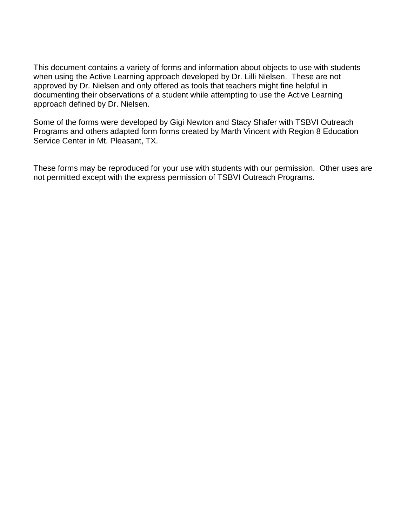This document contains a variety of forms and information about objects to use with students when using the Active Learning approach developed by Dr. Lilli Nielsen. These are not approved by Dr. Nielsen and only offered as tools that teachers might fine helpful in documenting their observations of a student while attempting to use the Active Learning approach defined by Dr. Nielsen.

Some of the forms were developed by Gigi Newton and Stacy Shafer with TSBVI Outreach Programs and others adapted form forms created by Marth Vincent with Region 8 Education Service Center in Mt. Pleasant, TX.

These forms may be reproduced for your use with students with our permission. Other uses are not permitted except with the express permission of TSBVI Outreach Programs.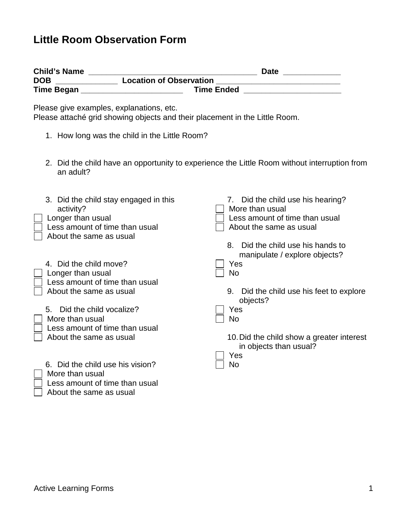# **Little Room Observation Form**

| <b>Date Example 2</b>                                                                                                                    |
|------------------------------------------------------------------------------------------------------------------------------------------|
| <b>Location of Observation</b>                                                                                                           |
| <b>Time Ended</b>                                                                                                                        |
| Please attaché grid showing objects and their placement in the Little Room.                                                              |
| 1. How long was the child in the Little Room?                                                                                            |
| 2. Did the child have an opportunity to experience the Little Room without interruption from                                             |
| 7. Did the child use his hearing?<br>More than usual<br>Less amount of time than usual<br>About the same as usual                        |
| Did the child use his hands to<br>8.<br>manipulate / explore objects?<br>Yes<br><b>No</b><br>Did the child use his feet to explore<br>9. |
| objects?<br>Yes<br><b>No</b><br>10. Did the child show a greater interest<br>in objects than usual?                                      |
| Yes<br><b>No</b>                                                                                                                         |
|                                                                                                                                          |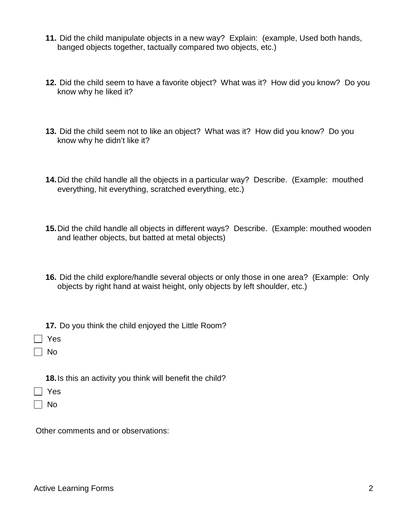- **11.** Did the child manipulate objects in a new way? Explain: (example, Used both hands, banged objects together, tactually compared two objects, etc.)
- **12.** Did the child seem to have a favorite object? What was it? How did you know? Do you know why he liked it?
- **13.** Did the child seem not to like an object? What was it? How did you know? Do you know why he didn't like it?
- **14.**Did the child handle all the objects in a particular way? Describe. (Example: mouthed everything, hit everything, scratched everything, etc.)
- **15.**Did the child handle all objects in different ways? Describe. (Example: mouthed wooden and leather objects, but batted at metal objects)
- **16.** Did the child explore/handle several objects or only those in one area? (Example: Only objects by right hand at waist height, only objects by left shoulder, etc.)
- **17.** Do you think the child enjoyed the Little Room?
- Yes
- $\Box$  No
	- **18.**Is this an activity you think will benefit the child?
- Yes
- $\Box$  No

Other comments and or observations: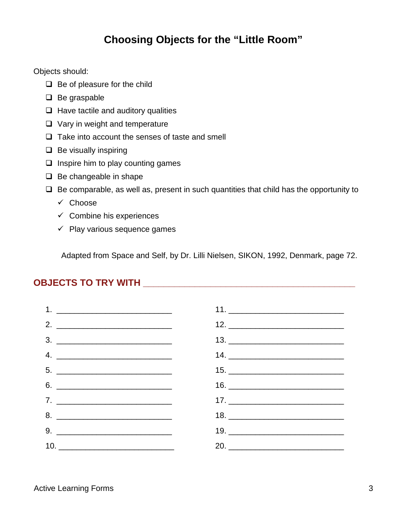# **Choosing Objects for the "Little Room"**

Objects should:

- $\Box$  Be of pleasure for the child
- $\Box$  Be graspable
- $\Box$  Have tactile and auditory qualities
- $\Box$  Vary in weight and temperature
- $\Box$  Take into account the senses of taste and smell
- $\Box$  Be visually inspiring
- $\Box$  Inspire him to play counting games
- $\Box$  Be changeable in shape
- $\Box$  Be comparable, as well as, present in such quantities that child has the opportunity to
	- $\checkmark$  Choose
	- $\checkmark$  Combine his experiences
	- $\checkmark$  Play various sequence games

Adapted from Space and Self, by Dr. Lilli Nielsen, SIKON, 1992, Denmark, page 72.

#### **OBJECTS TO TRY WITH \_\_\_\_\_\_\_\_\_\_\_\_\_\_\_\_\_\_\_\_\_\_\_\_\_\_\_\_\_\_\_\_\_\_\_\_\_\_\_\_\_**

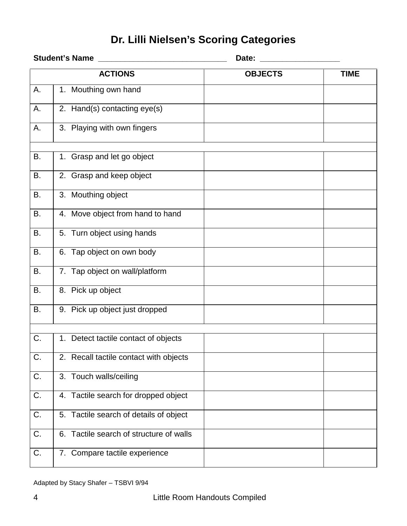# **Dr. Lilli Nielsen's Scoring Categories**

|           | <b>Student's Name</b>                   | Date:          |             |
|-----------|-----------------------------------------|----------------|-------------|
|           | <b>ACTIONS</b>                          | <b>OBJECTS</b> | <b>TIME</b> |
| А.        | 1. Mouthing own hand                    |                |             |
| А.        | 2. Hand(s) contacting eye(s)            |                |             |
| А.        | 3. Playing with own fingers             |                |             |
| В.        | 1. Grasp and let go object              |                |             |
| <b>B.</b> | 2. Grasp and keep object                |                |             |
| B.        | 3. Mouthing object                      |                |             |
| В.        | 4. Move object from hand to hand        |                |             |
| <b>B.</b> | 5. Turn object using hands              |                |             |
| B.        | 6. Tap object on own body               |                |             |
| <b>B.</b> | 7. Tap object on wall/platform          |                |             |
| <b>B.</b> | 8. Pick up object                       |                |             |
| <b>B.</b> | 9. Pick up object just dropped          |                |             |
|           |                                         |                |             |
| C.        | 1. Detect tactile contact of objects    |                |             |
| C.        | 2. Recall tactile contact with objects  |                |             |
| C.        | 3. Touch walls/ceiling                  |                |             |
| C.        | 4. Tactile search for dropped object    |                |             |
| C.        | 5. Tactile search of details of object  |                |             |
| C.        | 6. Tactile search of structure of walls |                |             |
| C.        | 7. Compare tactile experience           |                |             |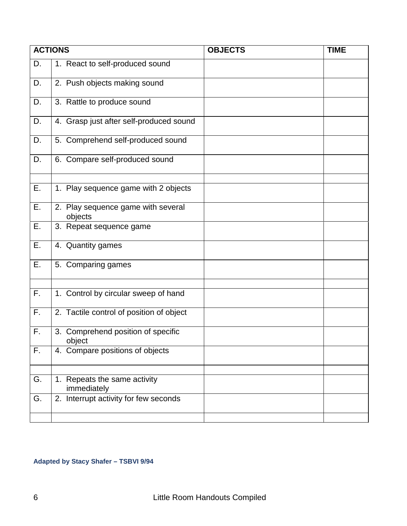|    | <b>ACTIONS</b>                                | <b>OBJECTS</b> | <b>TIME</b> |
|----|-----------------------------------------------|----------------|-------------|
| D. | 1. React to self-produced sound               |                |             |
| D. | 2. Push objects making sound                  |                |             |
| D. | 3. Rattle to produce sound                    |                |             |
| D. | 4. Grasp just after self-produced sound       |                |             |
| D. | 5. Comprehend self-produced sound             |                |             |
| D. | 6. Compare self-produced sound                |                |             |
| Ε. | 1. Play sequence game with 2 objects          |                |             |
| E. | 2. Play sequence game with several<br>objects |                |             |
| Ε. | 3. Repeat sequence game                       |                |             |
| Ε. | 4. Quantity games                             |                |             |
| Ε. | 5. Comparing games                            |                |             |
| F. | 1. Control by circular sweep of hand          |                |             |
| F. | 2. Tactile control of position of object      |                |             |
| F. | 3. Comprehend position of specific<br>object  |                |             |
| F. | 4. Compare positions of objects               |                |             |
| G. | 1. Repeats the same activity<br>immediately   |                |             |
| G. | 2. Interrupt activity for few seconds         |                |             |

#### **Adapted by Stacy Shafer – TSBVI 9/94**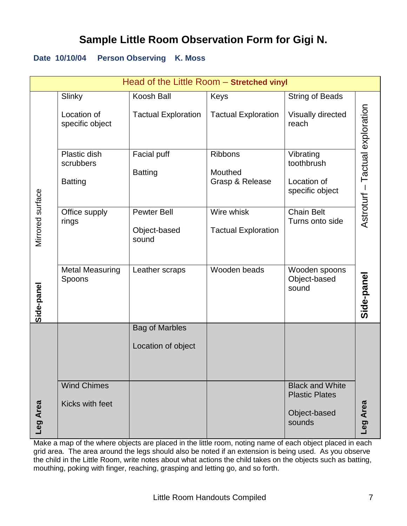# **Sample Little Room Observation Form for Gigi N.**

#### **Date 10/10/04 Person Observing K. Moss**

|                  |                                  | Head of the Little Room - Stretched vinyl |                                          |                                                 |                                 |
|------------------|----------------------------------|-------------------------------------------|------------------------------------------|-------------------------------------------------|---------------------------------|
|                  | Slinky                           | Koosh Ball                                | Keys                                     | <b>String of Beads</b>                          |                                 |
|                  | Location of<br>specific object   | <b>Tactual Exploration</b>                | <b>Tactual Exploration</b>               | Visually directed<br>reach                      | Astroturf - Tactual exploration |
|                  | Plastic dish<br>scrubbers        | <b>Facial puff</b><br><b>Batting</b>      | <b>Ribbons</b><br>Mouthed                | Vibrating<br>toothbrush                         |                                 |
|                  | <b>Batting</b>                   |                                           | Grasp & Release                          | Location of<br>specific object                  |                                 |
| Mirrored surface | Office supply<br>rings           | Pewter Bell<br>Object-based<br>sound      | Wire whisk<br><b>Tactual Exploration</b> | <b>Chain Belt</b><br>Turns onto side            |                                 |
| Side-panel       | <b>Metal Measuring</b><br>Spoons | Leather scraps                            | Wooden beads                             | Wooden spoons<br>Object-based<br>sound          | Side-panel                      |
|                  |                                  | <b>Bag of Marbles</b>                     |                                          |                                                 |                                 |
|                  |                                  | Location of object                        |                                          |                                                 |                                 |
|                  | <b>Wind Chimes</b>               |                                           |                                          | <b>Black and White</b><br><b>Plastic Plates</b> |                                 |
| Leg Area         | Kicks with feet                  |                                           |                                          | Object-based<br>sounds                          | Leg Area                        |

Make a map of the where objects are placed in the little room, noting name of each object placed in each grid area. The area around the legs should also be noted if an extension is being used. As you observe the child in the Little Room, write notes about what actions the child takes on the objects such as batting, mouthing, poking with finger, reaching, grasping and letting go, and so forth.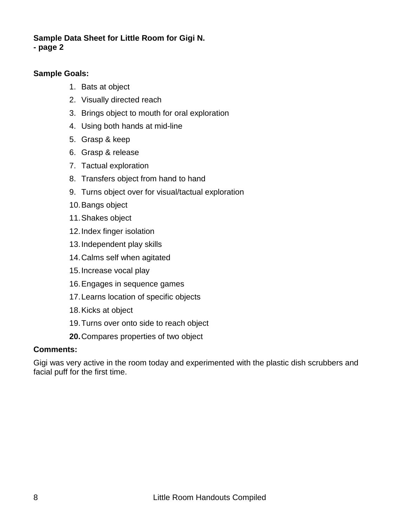#### **Sample Data Sheet for Little Room for Gigi N. - page 2**

#### **Sample Goals:**

- 1. Bats at object
- 2. Visually directed reach
- 3. Brings object to mouth for oral exploration
- 4. Using both hands at mid-line
- 5. Grasp & keep
- 6. Grasp & release
- 7. Tactual exploration
- 8. Transfers object from hand to hand
- 9. Turns object over for visual/tactual exploration
- 10.Bangs object
- 11.Shakes object
- 12.Index finger isolation
- 13.Independent play skills
- 14.Calms self when agitated
- 15.Increase vocal play
- 16.Engages in sequence games
- 17.Learns location of specific objects
- 18.Kicks at object
- 19.Turns over onto side to reach object
- **20.**Compares properties of two object

#### **Comments:**

Gigi was very active in the room today and experimented with the plastic dish scrubbers and facial puff for the first time.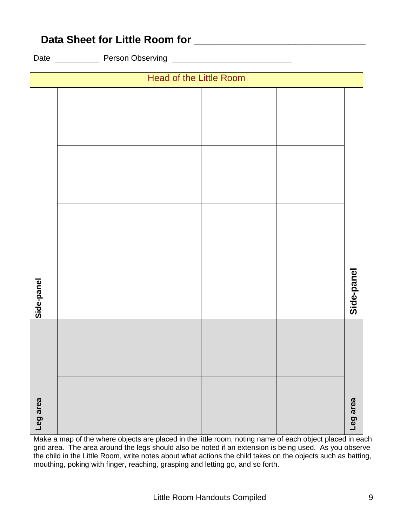| Leg area | Side-panel |  |  |                         |
|----------|------------|--|--|-------------------------|
|          |            |  |  |                         |
|          |            |  |  | Head of the Little Room |
|          |            |  |  |                         |
|          |            |  |  |                         |
| Leg area | Side-panel |  |  |                         |

**Data Sheet for Little Room for \_\_\_\_\_\_\_\_\_\_\_\_\_\_\_\_\_\_\_\_\_\_\_\_\_\_\_\_\_**

Date **Date** Person Observing **Network Date Date Date Date Date Date D** 

Make a map of the where objects are placed in the little room, noting name of each object placed in each grid area. The area around the legs should also be noted if an extension is being used. As you observe the child in the Little Room, write notes about what actions the child takes on the objects such as batting, mouthing, poking with finger, reaching, grasping and letting go, and so forth.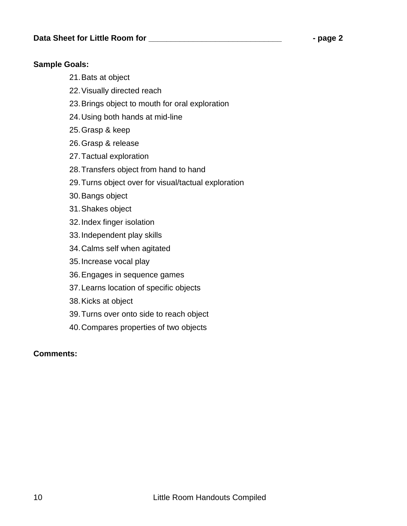#### **Sample Goals:**

- 21.Bats at object
- 22.Visually directed reach
- 23.Brings object to mouth for oral exploration
- 24.Using both hands at mid-line
- 25.Grasp & keep
- 26.Grasp & release
- 27.Tactual exploration
- 28.Transfers object from hand to hand
- 29.Turns object over for visual/tactual exploration
- 30.Bangs object
- 31.Shakes object
- 32.Index finger isolation
- 33.Independent play skills
- 34.Calms self when agitated
- 35.Increase vocal play
- 36.Engages in sequence games
- 37.Learns location of specific objects
- 38.Kicks at object
- 39.Turns over onto side to reach object
- 40.Compares properties of two objects

#### **Comments:**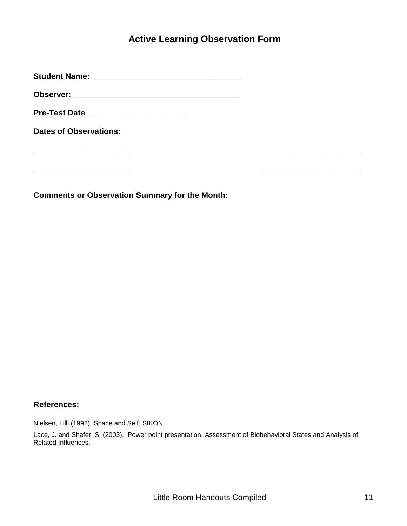#### **Active Learning Observation Form**

**Student Name: \_\_\_\_\_\_\_\_\_\_\_\_\_\_\_\_\_\_\_\_\_\_\_\_\_\_\_\_\_\_\_\_\_**

**Observer: \_\_\_\_\_\_\_\_\_\_\_\_\_\_\_\_\_\_\_\_\_\_\_\_\_\_\_\_\_\_\_\_\_\_\_\_\_**

**Pre-Test Date \_\_\_\_\_\_\_\_\_\_\_\_\_\_\_\_\_\_\_\_\_\_**

**Dates of Observations:** 

**\_\_\_\_\_\_\_\_\_\_\_\_\_\_\_\_\_\_\_\_\_\_**

**\_\_\_\_\_\_\_\_\_\_\_\_\_\_\_\_\_\_\_\_\_\_**

**Comments or Observation Summary for the Month:**

#### **References:**

Nielsen, Lilli (1992), Space and Self, SIKON.

Lace, J. and Shafer, S. (2003). Power point presentation, Assessment of Biobehavioral States and Analysis of Related Influences.

**\_\_\_\_\_\_\_\_\_\_\_\_\_\_\_\_\_\_\_\_\_\_**

**\_\_\_\_\_\_\_\_\_\_\_\_\_\_\_\_\_\_\_\_\_\_**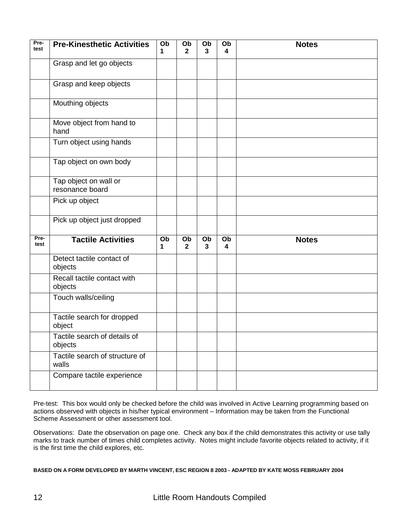| Pre-<br>test | <b>Pre-Kinesthetic Activities</b>        | Ob<br>1 | Ob<br>$\overline{2}$ | Ob<br>3 | Ob<br>4 | <b>Notes</b> |
|--------------|------------------------------------------|---------|----------------------|---------|---------|--------------|
|              | Grasp and let go objects                 |         |                      |         |         |              |
|              | Grasp and keep objects                   |         |                      |         |         |              |
|              | Mouthing objects                         |         |                      |         |         |              |
|              | Move object from hand to<br>hand         |         |                      |         |         |              |
|              | Turn object using hands                  |         |                      |         |         |              |
|              | Tap object on own body                   |         |                      |         |         |              |
|              | Tap object on wall or<br>resonance board |         |                      |         |         |              |
|              | Pick up object                           |         |                      |         |         |              |
|              | Pick up object just dropped              |         |                      |         |         |              |
| Pre-<br>test | <b>Tactile Activities</b>                | Ob<br>1 | Ob<br>$\mathbf{2}$   | Ob<br>3 | Ob<br>4 | <b>Notes</b> |
|              | Detect tactile contact of<br>objects     |         |                      |         |         |              |
|              | Recall tactile contact with<br>objects   |         |                      |         |         |              |
|              | Touch walls/ceiling                      |         |                      |         |         |              |
|              | Tactile search for dropped<br>object     |         |                      |         |         |              |
|              | Tactile search of details of<br>objects  |         |                      |         |         |              |
|              | Tactile search of structure of<br>walls  |         |                      |         |         |              |
|              | Compare tactile experience               |         |                      |         |         |              |

Pre-test: This box would only be checked before the child was involved in Active Learning programming based on actions observed with objects in his/her typical environment – Information may be taken from the Functional Scheme Assessment or other assessment tool.

Observations: Date the observation on page one. Check any box if the child demonstrates this activity or use tally marks to track number of times child completes activity. Notes might include favorite objects related to activity, if it is the first time the child explores, etc.

**BASED ON A FORM DEVELOPED BY MARTH VINCENT, ESC REGION 8 2003 - ADAPTED BY KATE MOSS FEBRUARY 2004**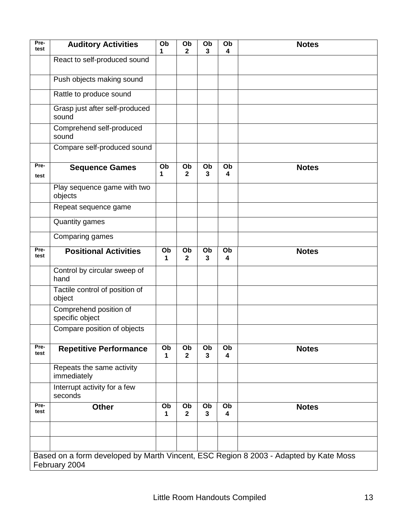| Pre-<br>test | <b>Auditory Activities</b>                | Ob<br>1 | Ob<br>$\mathbf{2}$ | Ob<br>3 | Ob<br>4                       | <b>Notes</b>                                                                         |
|--------------|-------------------------------------------|---------|--------------------|---------|-------------------------------|--------------------------------------------------------------------------------------|
|              | React to self-produced sound              |         |                    |         |                               |                                                                                      |
|              | Push objects making sound                 |         |                    |         |                               |                                                                                      |
|              | Rattle to produce sound                   |         |                    |         |                               |                                                                                      |
|              | Grasp just after self-produced<br>sound   |         |                    |         |                               |                                                                                      |
|              | Comprehend self-produced<br>sound         |         |                    |         |                               |                                                                                      |
|              | Compare self-produced sound               |         |                    |         |                               |                                                                                      |
| Pre-<br>test | <b>Sequence Games</b>                     | Ob<br>1 | Ob<br>$\mathbf{2}$ | Ob<br>3 | Ob<br>4                       | <b>Notes</b>                                                                         |
|              | Play sequence game with two<br>objects    |         |                    |         |                               |                                                                                      |
|              | Repeat sequence game                      |         |                    |         |                               |                                                                                      |
|              | <b>Quantity games</b>                     |         |                    |         |                               |                                                                                      |
|              | Comparing games                           |         |                    |         |                               |                                                                                      |
| Pre-<br>test | <b>Positional Activities</b>              | Ob<br>1 | Ob<br>$\mathbf{2}$ | Ob<br>3 | Ob<br>$\overline{\mathbf{4}}$ | <b>Notes</b>                                                                         |
|              | Control by circular sweep of<br>hand      |         |                    |         |                               |                                                                                      |
|              | Tactile control of position of<br>object  |         |                    |         |                               |                                                                                      |
|              | Comprehend position of<br>specific object |         |                    |         |                               |                                                                                      |
|              | Compare position of objects               |         |                    |         |                               |                                                                                      |
| Pre-<br>test | <b>Repetitive Performance</b>             | Ob<br>1 | Ob<br>$\mathbf{2}$ | Ob<br>3 | Ob<br>$\overline{\mathbf{4}}$ | <b>Notes</b>                                                                         |
|              | Repeats the same activity<br>immediately  |         |                    |         |                               |                                                                                      |
|              | Interrupt activity for a few<br>seconds   |         |                    |         |                               |                                                                                      |
| Pre-<br>test | <b>Other</b>                              | Ob<br>1 | Ob<br>$\mathbf{2}$ | Ob<br>3 | Ob<br>4                       | <b>Notes</b>                                                                         |
|              |                                           |         |                    |         |                               |                                                                                      |
|              |                                           |         |                    |         |                               | Based on a form developed by Marth Vincent, ESC Region 8 2003 - Adapted by Kate Moss |
|              | February 2004                             |         |                    |         |                               |                                                                                      |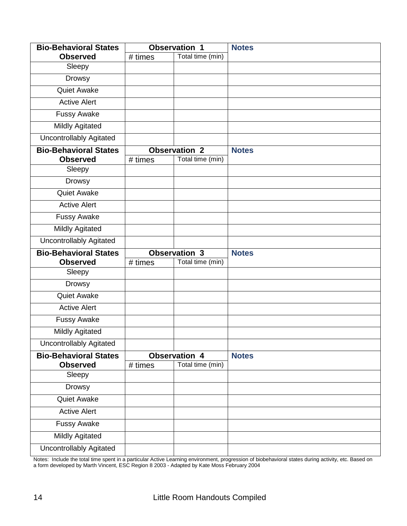| <b>Bio-Behavioral States</b>   |         | <b>Observation 1</b> | <b>Notes</b> |
|--------------------------------|---------|----------------------|--------------|
| <b>Observed</b>                | # times | Total time (min)     |              |
| Sleepy                         |         |                      |              |
| <b>Drowsy</b>                  |         |                      |              |
| <b>Quiet Awake</b>             |         |                      |              |
| <b>Active Alert</b>            |         |                      |              |
| <b>Fussy Awake</b>             |         |                      |              |
| <b>Mildly Agitated</b>         |         |                      |              |
| <b>Uncontrollably Agitated</b> |         |                      |              |
| <b>Bio-Behavioral States</b>   |         | <b>Observation 2</b> | <b>Notes</b> |
| <b>Observed</b>                | # times | Total time (min)     |              |
| Sleepy                         |         |                      |              |
| Drowsy                         |         |                      |              |
| <b>Quiet Awake</b>             |         |                      |              |
| <b>Active Alert</b>            |         |                      |              |
| <b>Fussy Awake</b>             |         |                      |              |
| <b>Mildly Agitated</b>         |         |                      |              |
| <b>Uncontrollably Agitated</b> |         |                      |              |
|                                |         |                      |              |
| <b>Bio-Behavioral States</b>   |         | <b>Observation 3</b> | <b>Notes</b> |
| <b>Observed</b>                | # times | Total time (min)     |              |
| Sleepy                         |         |                      |              |
| Drowsy                         |         |                      |              |
| <b>Quiet Awake</b>             |         |                      |              |
| <b>Active Alert</b>            |         |                      |              |
| <b>Fussy Awake</b>             |         |                      |              |
| <b>Mildly Agitated</b>         |         |                      |              |
| <b>Uncontrollably Agitated</b> |         |                      |              |
| <b>Bio-Behavioral States</b>   |         | <b>Observation 4</b> | <b>Notes</b> |
| <b>Observed</b>                | # times | Total time (min)     |              |
| Sleepy                         |         |                      |              |
| <b>Drowsy</b>                  |         |                      |              |
| Quiet Awake                    |         |                      |              |
| <b>Active Alert</b>            |         |                      |              |
| <b>Fussy Awake</b>             |         |                      |              |
| <b>Mildly Agitated</b>         |         |                      |              |

L Notes: Include the total time spent in a particular Active Learning environment, progression of biobehavioral states during activity, etc. Based on a form developed by Marth Vincent, ESC Region 8 2003 - Adapted by Kate Moss February 2004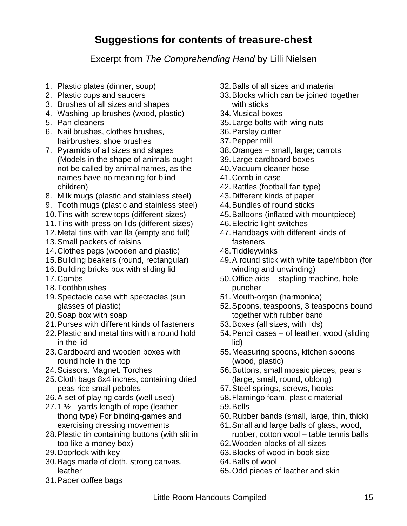## **Suggestions for contents of treasure-chest**

Excerpt from *The Comprehending Hand* by Lilli Nielsen

- 1. Plastic plates (dinner, soup)
- 2. Plastic cups and saucers
- 3. Brushes of all sizes and shapes
- 4. Washing-up brushes (wood, plastic)
- 5. Pan cleaners
- 6. Nail brushes, clothes brushes, hairbrushes, shoe brushes
- 7. Pyramids of all sizes and shapes (Models in the shape of animals ought not be called by animal names, as the names have no meaning for blind children)
- 8. Milk mugs (plastic and stainless steel)
- 9. Tooth mugs (plastic and stainless steel)
- 10.Tins with screw tops (different sizes)
- 11.Tins with press-on lids (different sizes)
- 12.Metal tins with vanilla (empty and full)
- 13.Small packets of raisins
- 14.Clothes pegs (wooden and plastic)
- 15.Building beakers (round, rectangular)
- 16.Building bricks box with sliding lid
- 17.Combs
- 18.Toothbrushes
- 19.Spectacle case with spectacles (sun glasses of plastic)
- 20.Soap box with soap
- 21.Purses with different kinds of fasteners
- 22.Plastic and metal tins with a round hold in the lid
- 23.Cardboard and wooden boxes with round hole in the top
- 24.Scissors. Magnet. Torches
- 25.Cloth bags 8x4 inches, containing dried peas rice small pebbles
- 26.A set of playing cards (well used)
- 27.1 ½ yards length of rope (leather thong type) For binding-games and exercising dressing movements
- 28.Plastic tin containing buttons (with slit in top like a money box)
- 29.Doorlock with key
- 30.Bags made of cloth, strong canvas, leather
- 31.Paper coffee bags
- 32.Balls of all sizes and material
- 33.Blocks which can be joined together with sticks
- 34.Musical boxes
- 35.Large bolts with wing nuts
- 36.Parsley cutter
- 37.Pepper mill
- 38.Oranges small, large; carrots
- 39.Large cardboard boxes
- 40.Vacuum cleaner hose
- 41.Comb in case
- 42.Rattles (football fan type)
- 43.Different kinds of paper
- 44.Bundles of round sticks
- 45.Balloons (inflated with mountpiece)
- 46.Electric light switches
- 47.Handbags with different kinds of fasteners
- 48.Tiddleywinks
- 49.A round stick with white tape/ribbon (for winding and unwinding)
- 50.Office aids stapling machine, hole puncher
- 51.Mouth-organ (harmonica)
- 52.Spoons, teaspoons, 3 teaspoons bound together with rubber band
- 53.Boxes (all sizes, with lids)
- 54.Pencil cases of leather, wood (sliding lid)
- 55.Measuring spoons, kitchen spoons (wood, plastic)
- 56.Buttons, small mosaic pieces, pearls (large, small, round, oblong)
- 57.Steel springs, screws, hooks
- 58.Flamingo foam, plastic material
- 59.Bells
- 60.Rubber bands (small, large, thin, thick)
- 61.Small and large balls of glass, wood,
- rubber, cotton wool table tennis balls 62.Wooden blocks of all sizes
- 63.Blocks of wood in book size
- 64.Balls of wool
- 65.Odd pieces of leather and skin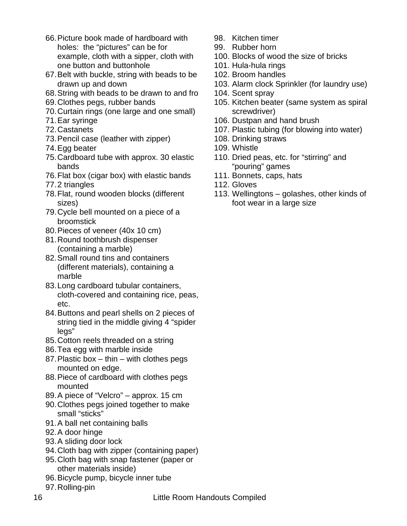- 66.Picture book made of hardboard with holes: the "pictures" can be for example, cloth with a sipper, cloth with one button and buttonhole
- 67.Belt with buckle, string with beads to be drawn up and down
- 68.String with beads to be drawn to and fro
- 69.Clothes pegs, rubber bands
- 70.Curtain rings (one large and one small)
- 71.Ear syringe
- 72.Castanets
- 73.Pencil case (leather with zipper)
- 74.Egg beater
- 75.Cardboard tube with approx. 30 elastic bands
- 76.Flat box (cigar box) with elastic bands
- 77.2 triangles
- 78.Flat, round wooden blocks (different sizes)
- 79.Cycle bell mounted on a piece of a broomstick
- 80.Pieces of veneer (40x 10 cm)
- 81.Round toothbrush dispenser (containing a marble)
- 82.Small round tins and containers (different materials), containing a marble
- 83.Long cardboard tubular containers, cloth-covered and containing rice, peas, etc.
- 84.Buttons and pearl shells on 2 pieces of string tied in the middle giving 4 "spider legs"
- 85.Cotton reels threaded on a string
- 86.Tea egg with marble inside
- 87.Plastic box thin with clothes pegs mounted on edge.
- 88.Piece of cardboard with clothes pegs mounted
- 89.A piece of "Velcro" approx. 15 cm
- 90.Clothes pegs joined together to make small "sticks"
- 91.A ball net containing balls
- 92.A door hinge
- 93.A sliding door lock
- 94.Cloth bag with zipper (containing paper)
- 95.Cloth bag with snap fastener (paper or other materials inside)
- 96.Bicycle pump, bicycle inner tube
- 97.Rolling-pin
- 98. Kitchen timer
- 99. Rubber horn
- 100. Blocks of wood the size of bricks
- 101. Hula-hula rings
- 102. Broom handles
- 103. Alarm clock Sprinkler (for laundry use)
- 104. Scent spray
- 105. Kitchen beater (same system as spiral screwdriver)
- 106. Dustpan and hand brush
- 107. Plastic tubing (for blowing into water)
- 108. Drinking straws
- 109. Whistle
- 110. Dried peas, etc. for "stirring" and "pouring" games
- 111. Bonnets, caps, hats
- 112. Gloves
- 113. Wellingtons golashes, other kinds of foot wear in a large size